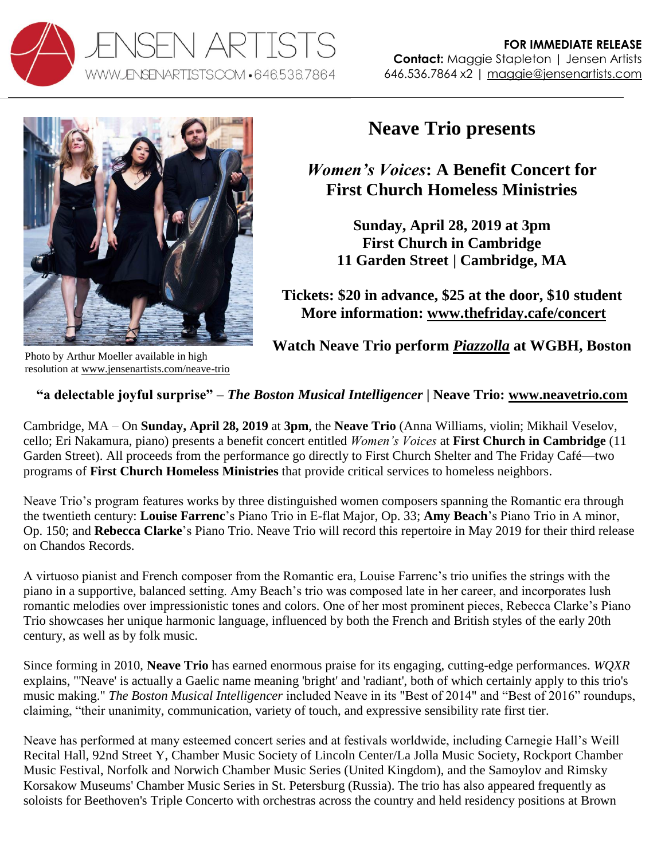



**Neave Trio presents**

*Women's Voices***: A Benefit Concert for First Church Homeless Ministries**

**Sunday, April 28, 2019 at 3pm First Church in Cambridge 11 Garden Street | Cambridge, MA**

**Tickets: \$20 in advance, \$25 at the door, \$10 student More information: [www.thefriday.cafe/concert](https://www.thefriday.cafe/concert/)**

**Watch Neave Trio perform** *[Piazzolla](https://youtu.be/Xs3a6h4OV-E)* **at WGBH, Boston**

Photo by Arthur Moeller available in high resolution at [www.jensenartists.com/neave-trio](http://www.jensenartists.com/neave-trio)

## **"a delectable joyful surprise" –** *The Boston Musical Intelligencer* **| Neave Trio: [www.neavetrio.com](http://www.neavetrio.com/)**

Cambridge, MA – On **Sunday, April 28, 2019** at **3pm**, the **Neave Trio** (Anna Williams, violin; Mikhail Veselov, cello; Eri Nakamura, piano) presents a benefit concert entitled *Women's Voices* at **First Church in Cambridge** (11 Garden Street). All proceeds from the performance go directly to First Church Shelter and The Friday Café—two programs of **First Church Homeless Ministries** that provide critical services to homeless neighbors.

Neave Trio's program features works by three distinguished women composers spanning the Romantic era through the twentieth century: **Louise Farrenc**'s Piano Trio in E-flat Major, Op. 33; **Amy Beach**'s Piano Trio in A minor, Op. 150; and **Rebecca Clarke**'s Piano Trio. Neave Trio will record this repertoire in May 2019 for their third release on Chandos Records.

A virtuoso pianist and French composer from the Romantic era, Louise Farrenc's trio unifies the strings with the piano in a supportive, balanced setting. Amy Beach's trio was composed late in her career, and incorporates lush romantic melodies over impressionistic tones and colors. One of her most prominent pieces, Rebecca Clarke's Piano Trio showcases her unique harmonic language, influenced by both the French and British styles of the early 20th century, as well as by folk music.

Since forming in 2010, **Neave Trio** has earned enormous praise for its engaging, cutting-edge performances. *WQXR*  explains, "'Neave' is actually a Gaelic name meaning 'bright' and 'radiant', both of which certainly apply to this trio's music making." *The Boston Musical Intelligencer* included Neave in its "Best of 2014" and "Best of 2016" roundups, claiming, "their unanimity, communication, variety of touch, and expressive sensibility rate first tier.

Neave has performed at many esteemed concert series and at festivals worldwide, including Carnegie Hall's Weill Recital Hall, 92nd Street Y, Chamber Music Society of Lincoln Center/La Jolla Music Society, Rockport Chamber Music Festival, Norfolk and Norwich Chamber Music Series (United Kingdom), and the Samoylov and Rimsky Korsakow Museums' Chamber Music Series in St. Petersburg (Russia). The trio has also appeared frequently as soloists for Beethoven's Triple Concerto with orchestras across the country and held residency positions at Brown